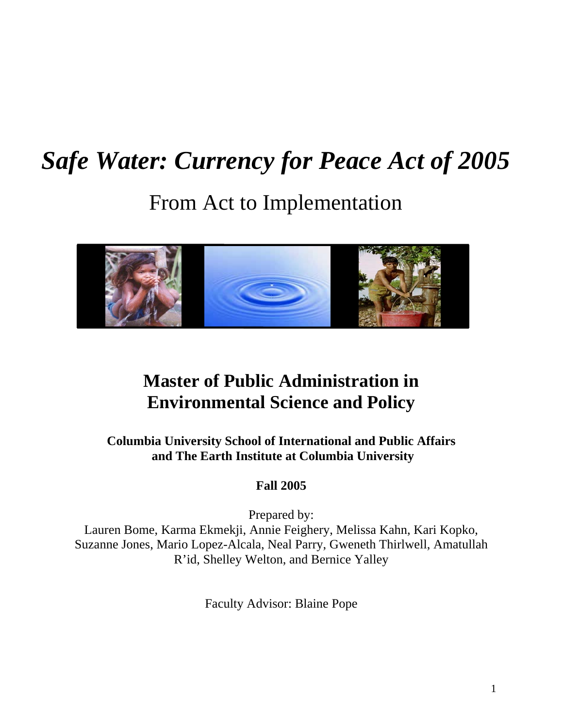# *Safe Water: Currency for Peace Act of 2005*

From Act to Implementation



# **Master of Public Administration in Environmental Science and Policy**

**Columbia University School of International and Public Affairs and The Earth Institute at Columbia University** 

**Fall 2005** 

Prepared by: Lauren Bome, Karma Ekmekji, Annie Feighery, Melissa Kahn, Kari Kopko, Suzanne Jones, Mario Lopez-Alcala, Neal Parry, Gweneth Thirlwell, Amatullah R'id, Shelley Welton, and Bernice Yalley

Faculty Advisor: Blaine Pope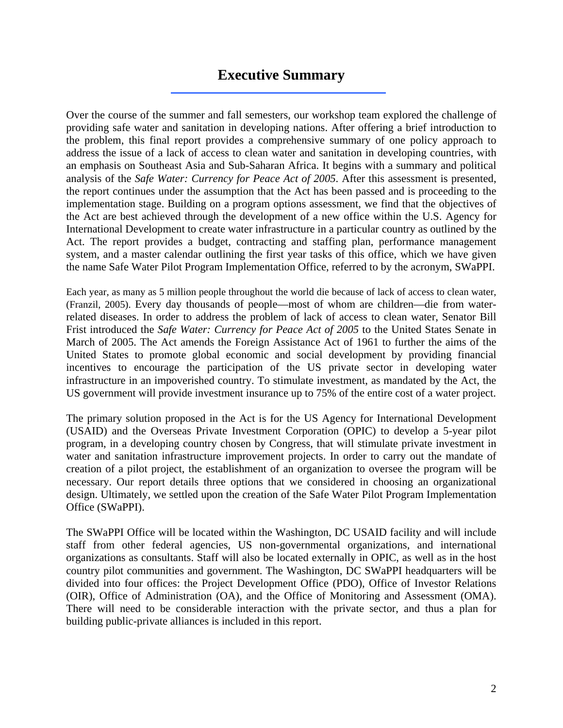### **Executive Summary**

Over the course of the summer and fall semesters, our workshop team explored the challenge of providing safe water and sanitation in developing nations. After offering a brief introduction to the problem, this final report provides a comprehensive summary of one policy approach to address the issue of a lack of access to clean water and sanitation in developing countries, with an emphasis on Southeast Asia and Sub-Saharan Africa. It begins with a summary and political analysis of the *Safe Water: Currency for Peace Act of 2005*. After this assessment is presented, the report continues under the assumption that the Act has been passed and is proceeding to the implementation stage. Building on a program options assessment, we find that the objectives of the Act are best achieved through the development of a new office within the U.S. Agency for International Development to create water infrastructure in a particular country as outlined by the Act. The report provides a budget, contracting and staffing plan, performance management system, and a master calendar outlining the first year tasks of this office, which we have given the name Safe Water Pilot Program Implementation Office, referred to by the acronym, SWaPPI.

Each year, as many as 5 million people throughout the world die because of lack of access to clean water, (Franzil, 2005). Every day thousands of people—most of whom are children—die from waterrelated diseases. In order to address the problem of lack of access to clean water, Senator Bill Frist introduced the *Safe Water: Currency for Peace Act of 2005* to the United States Senate in March of 2005. The Act amends the Foreign Assistance Act of 1961 to further the aims of the United States to promote global economic and social development by providing financial incentives to encourage the participation of the US private sector in developing water infrastructure in an impoverished country. To stimulate investment, as mandated by the Act, the US government will provide investment insurance up to 75% of the entire cost of a water project.

The primary solution proposed in the Act is for the US Agency for International Development (USAID) and the Overseas Private Investment Corporation (OPIC) to develop a 5-year pilot program, in a developing country chosen by Congress, that will stimulate private investment in water and sanitation infrastructure improvement projects. In order to carry out the mandate of creation of a pilot project, the establishment of an organization to oversee the program will be necessary. Our report details three options that we considered in choosing an organizational design. Ultimately, we settled upon the creation of the Safe Water Pilot Program Implementation Office (SWaPPI).

The SWaPPI Office will be located within the Washington, DC USAID facility and will include staff from other federal agencies, US non-governmental organizations, and international organizations as consultants. Staff will also be located externally in OPIC, as well as in the host country pilot communities and government. The Washington, DC SWaPPI headquarters will be divided into four offices: the Project Development Office (PDO), Office of Investor Relations (OIR), Office of Administration (OA), and the Office of Monitoring and Assessment (OMA). There will need to be considerable interaction with the private sector, and thus a plan for building public-private alliances is included in this report.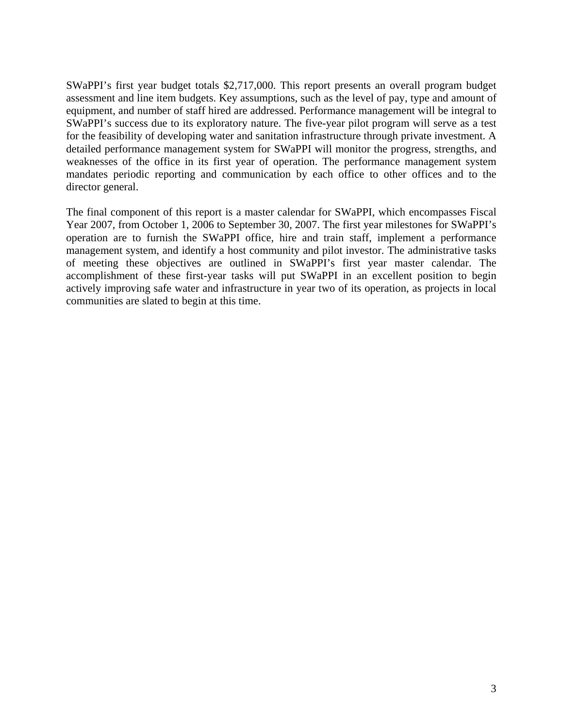SWaPPI's first year budget totals \$2,717,000. This report presents an overall program budget assessment and line item budgets. Key assumptions, such as the level of pay, type and amount of equipment, and number of staff hired are addressed. Performance management will be integral to SWaPPI's success due to its exploratory nature. The five-year pilot program will serve as a test for the feasibility of developing water and sanitation infrastructure through private investment. A detailed performance management system for SWaPPI will monitor the progress, strengths, and weaknesses of the office in its first year of operation. The performance management system mandates periodic reporting and communication by each office to other offices and to the director general.

The final component of this report is a master calendar for SWaPPI, which encompasses Fiscal Year 2007, from October 1, 2006 to September 30, 2007. The first year milestones for SWaPPI's operation are to furnish the SWaPPI office, hire and train staff, implement a performance management system, and identify a host community and pilot investor. The administrative tasks of meeting these objectives are outlined in SWaPPI's first year master calendar. The accomplishment of these first-year tasks will put SWaPPI in an excellent position to begin actively improving safe water and infrastructure in year two of its operation, as projects in local communities are slated to begin at this time.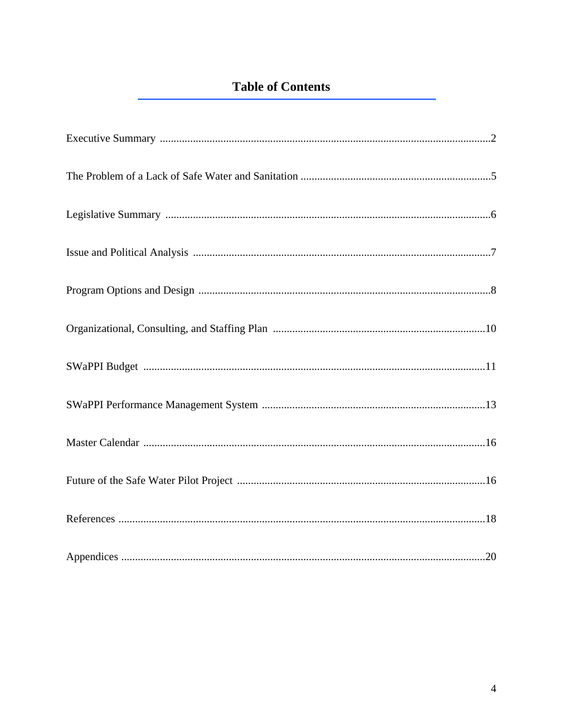### **Table of Contents**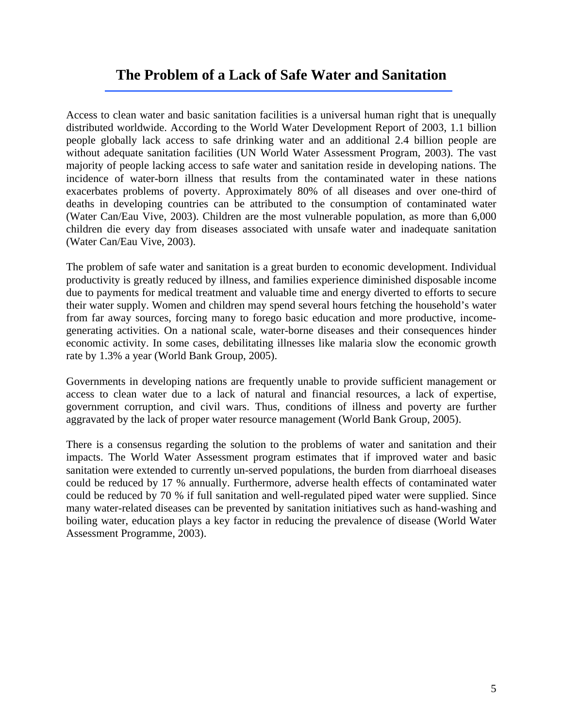### **The Problem of a Lack of Safe Water and Sanitation**

Access to clean water and basic sanitation facilities is a universal human right that is unequally distributed worldwide. According to the World Water Development Report of 2003, 1.1 billion people globally lack access to safe drinking water and an additional 2.4 billion people are without adequate sanitation facilities (UN World Water Assessment Program, 2003). The vast majority of people lacking access to safe water and sanitation reside in developing nations. The incidence of water-born illness that results from the contaminated water in these nations exacerbates problems of poverty. Approximately 80% of all diseases and over one-third of deaths in developing countries can be attributed to the consumption of contaminated water (Water Can/Eau Vive, 2003). Children are the most vulnerable population, as more than 6,000 children die every day from diseases associated with unsafe water and inadequate sanitation (Water Can/Eau Vive, 2003).

The problem of safe water and sanitation is a great burden to economic development. Individual productivity is greatly reduced by illness, and families experience diminished disposable income due to payments for medical treatment and valuable time and energy diverted to efforts to secure their water supply. Women and children may spend several hours fetching the household's water from far away sources, forcing many to forego basic education and more productive, incomegenerating activities. On a national scale, water-borne diseases and their consequences hinder economic activity. In some cases, debilitating illnesses like malaria slow the economic growth rate by 1.3% a year (World Bank Group, 2005).

Governments in developing nations are frequently unable to provide sufficient management or access to clean water due to a lack of natural and financial resources, a lack of expertise, government corruption, and civil wars. Thus, conditions of illness and poverty are further aggravated by the lack of proper water resource management (World Bank Group, 2005).

There is a consensus regarding the solution to the problems of water and sanitation and their impacts. The World Water Assessment program estimates that if improved water and basic sanitation were extended to currently un-served populations, the burden from diarrhoeal diseases could be reduced by 17 % annually. Furthermore, adverse health effects of contaminated water could be reduced by 70 % if full sanitation and well-regulated piped water were supplied. Since many water-related diseases can be prevented by sanitation initiatives such as hand-washing and boiling water, education plays a key factor in reducing the prevalence of disease (World Water Assessment Programme, 2003).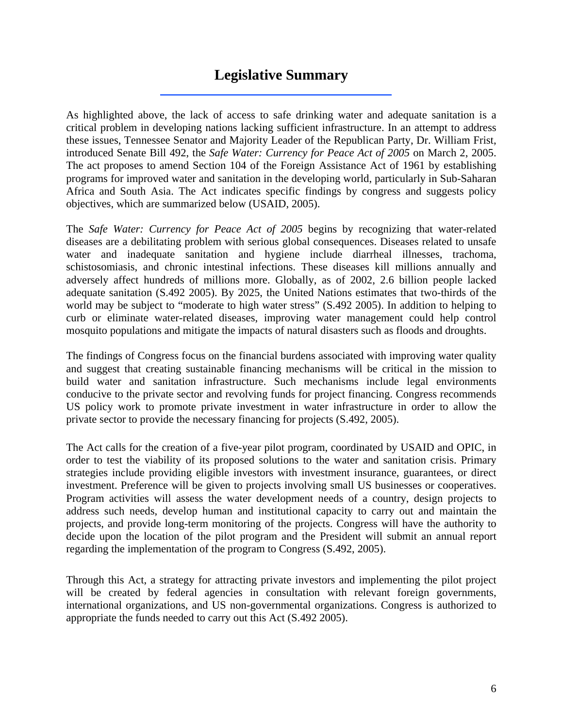### **Legislative Summary**

As highlighted above, the lack of access to safe drinking water and adequate sanitation is a critical problem in developing nations lacking sufficient infrastructure. In an attempt to address these issues, Tennessee Senator and Majority Leader of the Republican Party, Dr. William Frist, introduced Senate Bill 492, the *Safe Water: Currency for Peace Act of 2005* on March 2, 2005. The act proposes to amend Section 104 of the Foreign Assistance Act of 1961 by establishing programs for improved water and sanitation in the developing world, particularly in Sub-Saharan Africa and South Asia. The Act indicates specific findings by congress and suggests policy objectives, which are summarized below (USAID, 2005).

The *Safe Water: Currency for Peace Act of 2005* begins by recognizing that water-related diseases are a debilitating problem with serious global consequences. Diseases related to unsafe water and inadequate sanitation and hygiene include diarrheal illnesses, trachoma, schistosomiasis, and chronic intestinal infections. These diseases kill millions annually and adversely affect hundreds of millions more. Globally, as of 2002, 2.6 billion people lacked adequate sanitation (S.492 2005). By 2025, the United Nations estimates that two-thirds of the world may be subject to "moderate to high water stress" (S.492 2005). In addition to helping to curb or eliminate water-related diseases, improving water management could help control mosquito populations and mitigate the impacts of natural disasters such as floods and droughts.

The findings of Congress focus on the financial burdens associated with improving water quality and suggest that creating sustainable financing mechanisms will be critical in the mission to build water and sanitation infrastructure. Such mechanisms include legal environments conducive to the private sector and revolving funds for project financing. Congress recommends US policy work to promote private investment in water infrastructure in order to allow the private sector to provide the necessary financing for projects (S.492, 2005).

The Act calls for the creation of a five-year pilot program, coordinated by USAID and OPIC, in order to test the viability of its proposed solutions to the water and sanitation crisis. Primary strategies include providing eligible investors with investment insurance, guarantees, or direct investment. Preference will be given to projects involving small US businesses or cooperatives. Program activities will assess the water development needs of a country, design projects to address such needs, develop human and institutional capacity to carry out and maintain the projects, and provide long-term monitoring of the projects. Congress will have the authority to decide upon the location of the pilot program and the President will submit an annual report regarding the implementation of the program to Congress (S.492, 2005).

Through this Act, a strategy for attracting private investors and implementing the pilot project will be created by federal agencies in consultation with relevant foreign governments, international organizations, and US non-governmental organizations. Congress is authorized to appropriate the funds needed to carry out this Act (S.492 2005).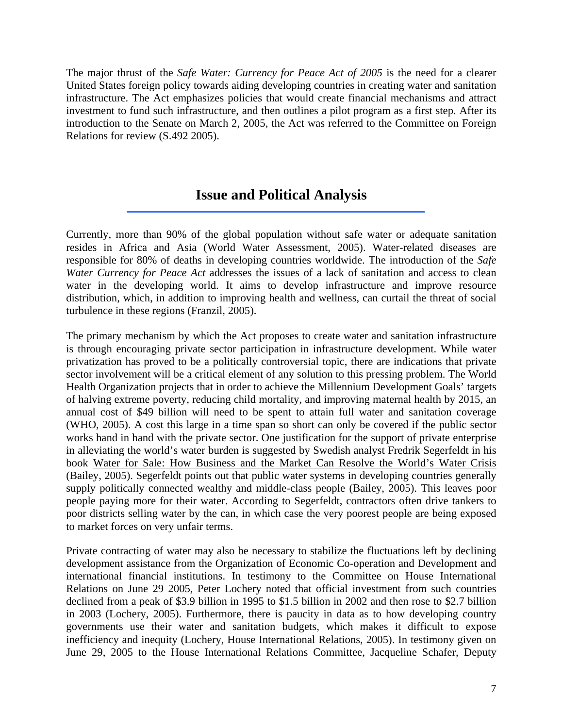The major thrust of the *Safe Water: Currency for Peace Act of 2005* is the need for a clearer United States foreign policy towards aiding developing countries in creating water and sanitation infrastructure. The Act emphasizes policies that would create financial mechanisms and attract investment to fund such infrastructure, and then outlines a pilot program as a first step. After its introduction to the Senate on March 2, 2005, the Act was referred to the Committee on Foreign Relations for review (S.492 2005).

### **Issue and Political Analysis**

Currently, more than 90% of the global population without safe water or adequate sanitation resides in Africa and Asia (World Water Assessment, 2005). Water-related diseases are responsible for 80% of deaths in developing countries worldwide. The introduction of the *Safe Water Currency for Peace Act* addresses the issues of a lack of sanitation and access to clean water in the developing world. It aims to develop infrastructure and improve resource distribution, which, in addition to improving health and wellness, can curtail the threat of social turbulence in these regions (Franzil, 2005).

The primary mechanism by which the Act proposes to create water and sanitation infrastructure is through encouraging private sector participation in infrastructure development. While water privatization has proved to be a politically controversial topic, there are indications that private sector involvement will be a critical element of any solution to this pressing problem. The World Health Organization projects that in order to achieve the Millennium Development Goals' targets of halving extreme poverty, reducing child mortality, and improving maternal health by 2015, an annual cost of \$49 billion will need to be spent to attain full water and sanitation coverage (WHO, 2005). A cost this large in a time span so short can only be covered if the public sector works hand in hand with the private sector. One justification for the support of private enterprise in alleviating the world's water burden is suggested by Swedish analyst Fredrik Segerfeldt in his book Water for Sale: How Business and the Market Can Resolve the World's Water Crisis (Bailey, 2005). Segerfeldt points out that public water systems in developing countries generally supply politically connected wealthy and middle-class people (Bailey, 2005). This leaves poor people paying more for their water. According to Segerfeldt, contractors often drive tankers to poor districts selling water by the can, in which case the very poorest people are being exposed to market forces on very unfair terms.

Private contracting of water may also be necessary to stabilize the fluctuations left by declining development assistance from the Organization of Economic Co-operation and Development and international financial institutions. In testimony to the Committee on House International Relations on June 29 2005, Peter Lochery noted that official investment from such countries declined from a peak of \$3.9 billion in 1995 to \$1.5 billion in 2002 and then rose to \$2.7 billion in 2003 (Lochery, 2005). Furthermore, there is paucity in data as to how developing country governments use their water and sanitation budgets, which makes it difficult to expose inefficiency and inequity (Lochery, House International Relations, 2005). In testimony given on June 29, 2005 to the House International Relations Committee, Jacqueline Schafer, Deputy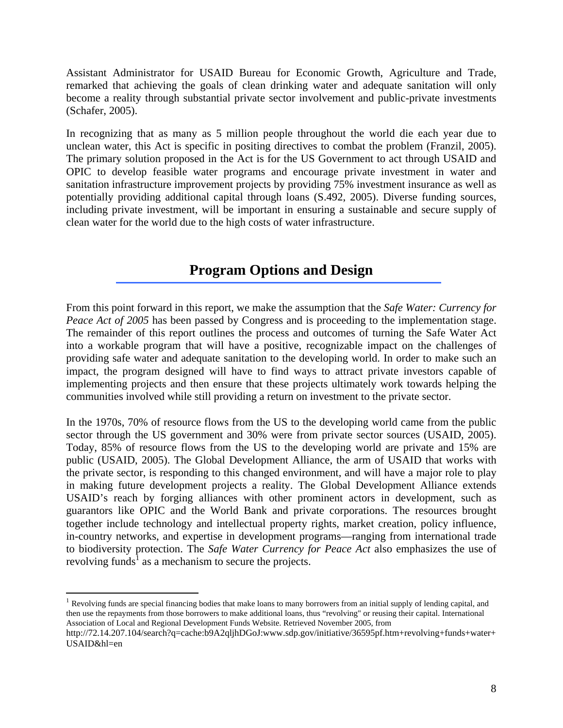Assistant Administrator for USAID Bureau for Economic Growth, Agriculture and Trade, remarked that achieving the goals of clean drinking water and adequate sanitation will only become a reality through substantial private sector involvement and public-private investments (Schafer, 2005).

In recognizing that as many as 5 million people throughout the world die each year due to unclean water, this Act is specific in positing directives to combat the problem (Franzil, 2005). The primary solution proposed in the Act is for the US Government to act through USAID and OPIC to develop feasible water programs and encourage private investment in water and sanitation infrastructure improvement projects by providing 75% investment insurance as well as potentially providing additional capital through loans (S.492, 2005). Diverse funding sources, including private investment, will be important in ensuring a sustainable and secure supply of clean water for the world due to the high costs of water infrastructure.

### **Program Options and Design**

From this point forward in this report, we make the assumption that the *Safe Water: Currency for Peace Act of 2005* has been passed by Congress and is proceeding to the implementation stage. The remainder of this report outlines the process and outcomes of turning the Safe Water Act into a workable program that will have a positive, recognizable impact on the challenges of providing safe water and adequate sanitation to the developing world. In order to make such an impact, the program designed will have to find ways to attract private investors capable of implementing projects and then ensure that these projects ultimately work towards helping the communities involved while still providing a return on investment to the private sector.

In the 1970s, 70% of resource flows from the US to the developing world came from the public sector through the US government and 30% were from private sector sources (USAID, 2005). Today, 85% of resource flows from the US to the developing world are private and 15% are public (USAID, 2005). The Global Development Alliance, the arm of USAID that works with the private sector, is responding to this changed environment, and will have a major role to play in making future development projects a reality. The Global Development Alliance extends USAID's reach by forging alliances with other prominent actors in development, such as guarantors like OPIC and the World Bank and private corporations. The resources brought together include technology and intellectual property rights, market creation, policy influence, in-country networks, and expertise in development programs—ranging from international trade to biodiversity protection. The *Safe Water Currency for Peace Act* also emphasizes the use of revolving funds<sup>1</sup> as a mechanism to secure the projects.

<sup>1</sup> Revolving funds are special financing bodies that make loans to many borrowers from an initial supply of lending capital, and then use the repayments from those borrowers to make additional loans, thus "revolving" or reusing their capital. International Association of Local and Regional Development Funds Website. Retrieved November 2005, from

1

http://72.14.207.104/search?q=cache:b9A2qljhDGoJ:www.sdp.gov/initiative/36595pf.htm+revolving+funds+water+ USAID&hl=en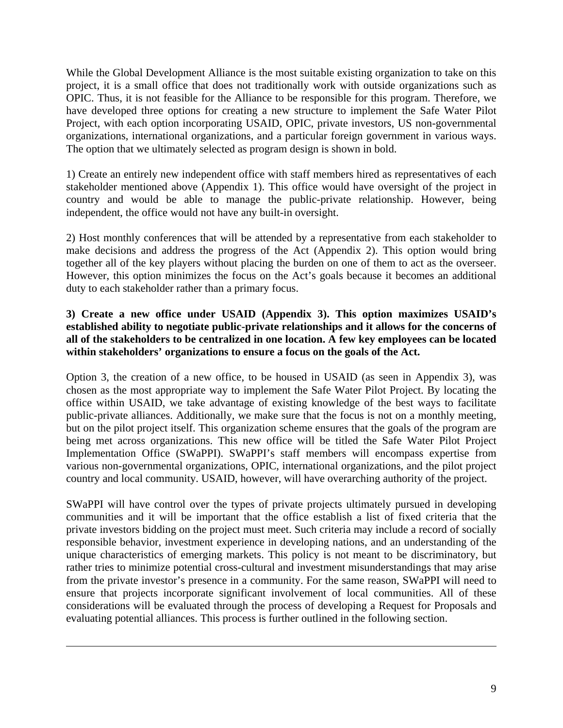While the Global Development Alliance is the most suitable existing organization to take on this project, it is a small office that does not traditionally work with outside organizations such as OPIC. Thus, it is not feasible for the Alliance to be responsible for this program. Therefore, we have developed three options for creating a new structure to implement the Safe Water Pilot Project, with each option incorporating USAID, OPIC, private investors, US non-governmental organizations, international organizations, and a particular foreign government in various ways. The option that we ultimately selected as program design is shown in bold.

1) Create an entirely new independent office with staff members hired as representatives of each stakeholder mentioned above (Appendix 1). This office would have oversight of the project in country and would be able to manage the public-private relationship. However, being independent, the office would not have any built-in oversight.

2) Host monthly conferences that will be attended by a representative from each stakeholder to make decisions and address the progress of the Act (Appendix 2). This option would bring together all of the key players without placing the burden on one of them to act as the overseer. However, this option minimizes the focus on the Act's goals because it becomes an additional duty to each stakeholder rather than a primary focus.

### **3) Create a new office under USAID (Appendix 3). This option maximizes USAID's established ability to negotiate public-private relationships and it allows for the concerns of all of the stakeholders to be centralized in one location. A few key employees can be located within stakeholders' organizations to ensure a focus on the goals of the Act.**

Option 3, the creation of a new office, to be housed in USAID (as seen in Appendix 3), was chosen as the most appropriate way to implement the Safe Water Pilot Project. By locating the office within USAID, we take advantage of existing knowledge of the best ways to facilitate public-private alliances. Additionally, we make sure that the focus is not on a monthly meeting, but on the pilot project itself. This organization scheme ensures that the goals of the program are being met across organizations. This new office will be titled the Safe Water Pilot Project Implementation Office (SWaPPI). SWaPPI's staff members will encompass expertise from various non-governmental organizations, OPIC, international organizations, and the pilot project country and local community. USAID, however, will have overarching authority of the project.

SWaPPI will have control over the types of private projects ultimately pursued in developing communities and it will be important that the office establish a list of fixed criteria that the private investors bidding on the project must meet. Such criteria may include a record of socially responsible behavior, investment experience in developing nations, and an understanding of the unique characteristics of emerging markets. This policy is not meant to be discriminatory, but rather tries to minimize potential cross-cultural and investment misunderstandings that may arise from the private investor's presence in a community. For the same reason, SWaPPI will need to ensure that projects incorporate significant involvement of local communities. All of these considerations will be evaluated through the process of developing a Request for Proposals and evaluating potential alliances. This process is further outlined in the following section.

<u>.</u>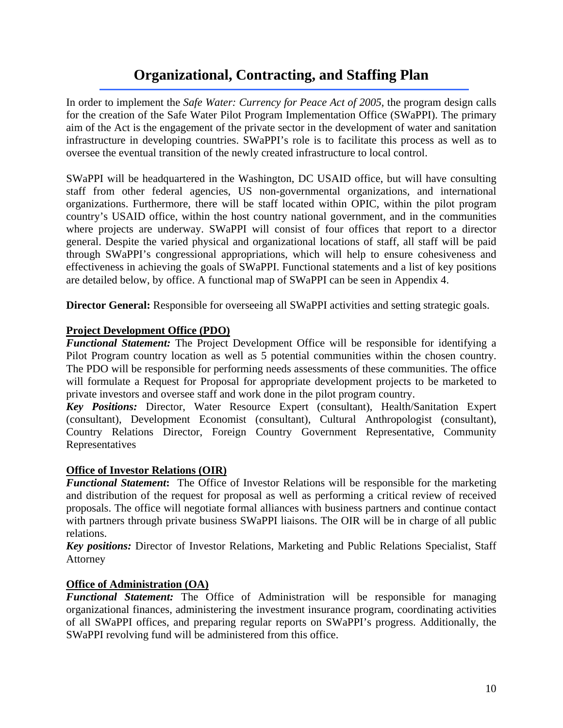### **Organizational, Contracting, and Staffing Plan**

In order to implement the *Safe Water: Currency for Peace Act of 2005*, the program design calls for the creation of the Safe Water Pilot Program Implementation Office (SWaPPI). The primary aim of the Act is the engagement of the private sector in the development of water and sanitation infrastructure in developing countries. SWaPPI's role is to facilitate this process as well as to oversee the eventual transition of the newly created infrastructure to local control.

SWaPPI will be headquartered in the Washington, DC USAID office, but will have consulting staff from other federal agencies, US non-governmental organizations, and international organizations. Furthermore, there will be staff located within OPIC, within the pilot program country's USAID office, within the host country national government, and in the communities where projects are underway. SWaPPI will consist of four offices that report to a director general. Despite the varied physical and organizational locations of staff, all staff will be paid through SWaPPI's congressional appropriations, which will help to ensure cohesiveness and effectiveness in achieving the goals of SWaPPI. Functional statements and a list of key positions are detailed below, by office. A functional map of SWaPPI can be seen in Appendix 4.

**Director General:** Responsible for overseeing all SWaPPI activities and setting strategic goals.

### **Project Development Office (PDO)**

*Functional Statement:* The Project Development Office will be responsible for identifying a Pilot Program country location as well as 5 potential communities within the chosen country. The PDO will be responsible for performing needs assessments of these communities. The office will formulate a Request for Proposal for appropriate development projects to be marketed to private investors and oversee staff and work done in the pilot program country.

*Key Positions:* Director, Water Resource Expert (consultant), Health/Sanitation Expert (consultant), Development Economist (consultant), Cultural Anthropologist (consultant), Country Relations Director, Foreign Country Government Representative, Community Representatives

### **Office of Investor Relations (OIR)**

*Functional Statement***:** The Office of Investor Relations will be responsible for the marketing and distribution of the request for proposal as well as performing a critical review of received proposals. The office will negotiate formal alliances with business partners and continue contact with partners through private business SWaPPI liaisons. The OIR will be in charge of all public relations.

*Key positions:* Director of Investor Relations, Marketing and Public Relations Specialist, Staff Attorney

### **Office of Administration (OA)**

*Functional Statement:* The Office of Administration will be responsible for managing organizational finances, administering the investment insurance program, coordinating activities of all SWaPPI offices, and preparing regular reports on SWaPPI's progress. Additionally, the SWaPPI revolving fund will be administered from this office.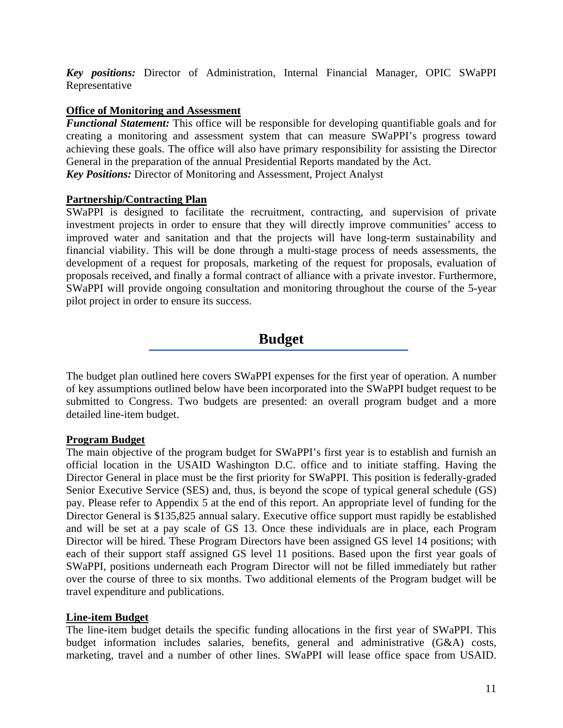*Key positions:* Director of Administration, Internal Financial Manager, OPIC SWaPPI Representative

### **Office of Monitoring and Assessment**

*Functional Statement:* This office will be responsible for developing quantifiable goals and for creating a monitoring and assessment system that can measure SWaPPI's progress toward achieving these goals. The office will also have primary responsibility for assisting the Director General in the preparation of the annual Presidential Reports mandated by the Act. *Key Positions:* Director of Monitoring and Assessment, Project Analyst

#### **Partnership/Contracting Plan**

SWaPPI is designed to facilitate the recruitment, contracting, and supervision of private investment projects in order to ensure that they will directly improve communities' access to improved water and sanitation and that the projects will have long-term sustainability and financial viability. This will be done through a multi-stage process of needs assessments, the development of a request for proposals, marketing of the request for proposals, evaluation of proposals received, and finally a formal contract of alliance with a private investor. Furthermore, SWaPPI will provide ongoing consultation and monitoring throughout the course of the 5-year pilot project in order to ensure its success.

**Budget** 

The budget plan outlined here covers SWaPPI expenses for the first year of operation. A number of key assumptions outlined below have been incorporated into the SWaPPI budget request to be submitted to Congress. Two budgets are presented: an overall program budget and a more detailed line-item budget.

#### **Program Budget**

The main objective of the program budget for SWaPPI's first year is to establish and furnish an official location in the USAID Washington D.C. office and to initiate staffing. Having the Director General in place must be the first priority for SWaPPI. This position is federally-graded Senior Executive Service (SES) and, thus, is beyond the scope of typical general schedule (GS) pay. Please refer to Appendix 5 at the end of this report. An appropriate level of funding for the Director General is \$135,825 annual salary. Executive office support must rapidly be established and will be set at a pay scale of GS 13. Once these individuals are in place, each Program Director will be hired. These Program Directors have been assigned GS level 14 positions; with each of their support staff assigned GS level 11 positions. Based upon the first year goals of SWaPPI, positions underneath each Program Director will not be filled immediately but rather over the course of three to six months. Two additional elements of the Program budget will be travel expenditure and publications.

#### **Line-item Budget**

The line-item budget details the specific funding allocations in the first year of SWaPPI. This budget information includes salaries, benefits, general and administrative (G&A) costs, marketing, travel and a number of other lines. SWaPPI will lease office space from USAID.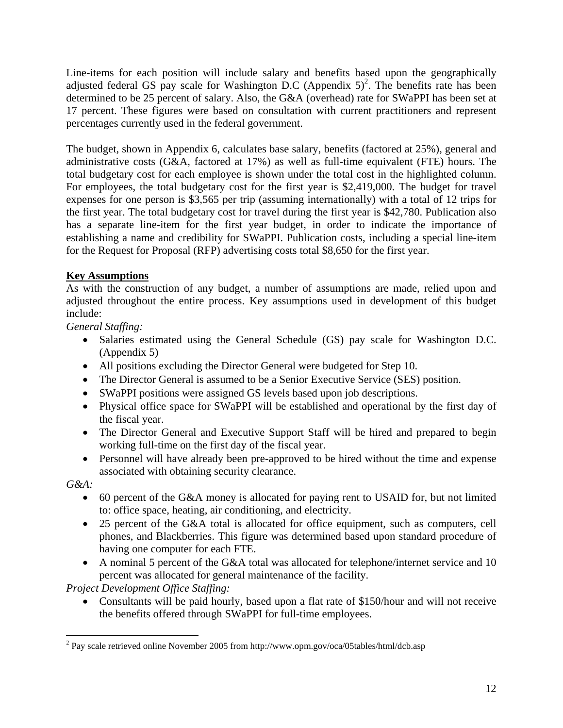Line-items for each position will include salary and benefits based upon the geographically adjusted federal GS pay scale for Washington D.C (Appendix  $5)^2$ . The benefits rate has been determined to be 25 percent of salary. Also, the G&A (overhead) rate for SWaPPI has been set at 17 percent. These figures were based on consultation with current practitioners and represent percentages currently used in the federal government.

The budget, shown in Appendix 6, calculates base salary, benefits (factored at 25%), general and administrative costs (G&A, factored at 17%) as well as full-time equivalent (FTE) hours. The total budgetary cost for each employee is shown under the total cost in the highlighted column. For employees, the total budgetary cost for the first year is \$2,419,000. The budget for travel expenses for one person is \$3,565 per trip (assuming internationally) with a total of 12 trips for the first year. The total budgetary cost for travel during the first year is \$42,780. Publication also has a separate line-item for the first year budget, in order to indicate the importance of establishing a name and credibility for SWaPPI. Publication costs, including a special line-item for the Request for Proposal (RFP) advertising costs total \$8,650 for the first year.

### **Key Assumptions**

As with the construction of any budget, a number of assumptions are made, relied upon and adjusted throughout the entire process. Key assumptions used in development of this budget include:

*General Staffing:* 

- Salaries estimated using the General Schedule (GS) pay scale for Washington D.C. (Appendix 5)
- All positions excluding the Director General were budgeted for Step 10.
- The Director General is assumed to be a Senior Executive Service (SES) position.
- SWaPPI positions were assigned GS levels based upon job descriptions.
- Physical office space for SWaPPI will be established and operational by the first day of the fiscal year.
- The Director General and Executive Support Staff will be hired and prepared to begin working full-time on the first day of the fiscal year.
- Personnel will have already been pre-approved to be hired without the time and expense associated with obtaining security clearance.

*G&A:* 

- 60 percent of the G&A money is allocated for paying rent to USAID for, but not limited to: office space, heating, air conditioning, and electricity.
- 25 percent of the G&A total is allocated for office equipment, such as computers, cell phones, and Blackberries. This figure was determined based upon standard procedure of having one computer for each FTE.
- A nominal 5 percent of the G&A total was allocated for telephone/internet service and 10 percent was allocated for general maintenance of the facility.

*Project Development Office Staffing:* 

• Consultants will be paid hourly, based upon a flat rate of \$150/hour and will not receive the benefits offered through SWaPPI for full-time employees.

<sup>&</sup>lt;sup>2</sup> Pay scale retrieved online November 2005 from http://www.opm.gov/oca/05tables/html/dcb.asp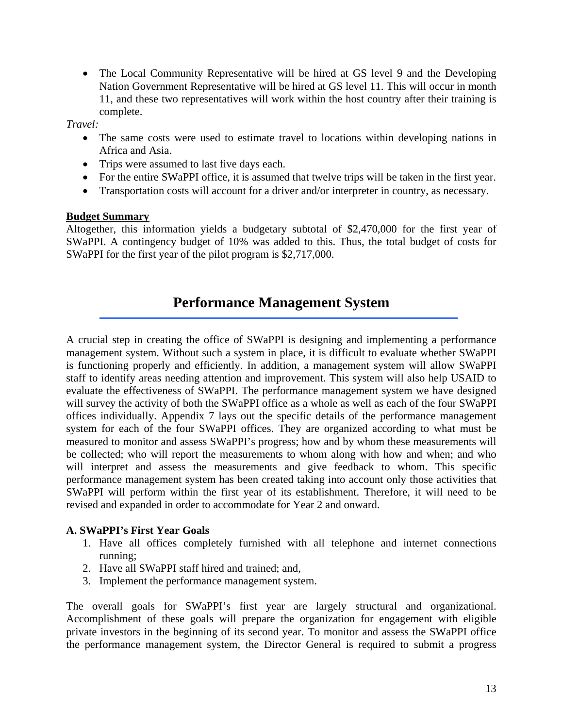• The Local Community Representative will be hired at GS level 9 and the Developing Nation Government Representative will be hired at GS level 11. This will occur in month 11, and these two representatives will work within the host country after their training is complete.

*Travel:* 

- The same costs were used to estimate travel to locations within developing nations in Africa and Asia.
- Trips were assumed to last five days each.
- For the entire SWaPPI office, it is assumed that twelve trips will be taken in the first year.
- Transportation costs will account for a driver and/or interpreter in country, as necessary.

### **Budget Summary**

Altogether, this information yields a budgetary subtotal of \$2,470,000 for the first year of SWaPPI. A contingency budget of 10% was added to this. Thus, the total budget of costs for SWaPPI for the first year of the pilot program is \$2,717,000.

### **Performance Management System**

A crucial step in creating the office of SWaPPI is designing and implementing a performance management system. Without such a system in place, it is difficult to evaluate whether SWaPPI is functioning properly and efficiently. In addition, a management system will allow SWaPPI staff to identify areas needing attention and improvement. This system will also help USAID to evaluate the effectiveness of SWaPPI. The performance management system we have designed will survey the activity of both the SWaPPI office as a whole as well as each of the four SWaPPI offices individually. Appendix 7 lays out the specific details of the performance management system for each of the four SWaPPI offices. They are organized according to what must be measured to monitor and assess SWaPPI's progress; how and by whom these measurements will be collected; who will report the measurements to whom along with how and when; and who will interpret and assess the measurements and give feedback to whom. This specific performance management system has been created taking into account only those activities that SWaPPI will perform within the first year of its establishment. Therefore, it will need to be revised and expanded in order to accommodate for Year 2 and onward.

### **A. SWaPPI's First Year Goals**

- 1. Have all offices completely furnished with all telephone and internet connections running;
- 2. Have all SWaPPI staff hired and trained; and,
- 3. Implement the performance management system.

The overall goals for SWaPPI's first year are largely structural and organizational. Accomplishment of these goals will prepare the organization for engagement with eligible private investors in the beginning of its second year. To monitor and assess the SWaPPI office the performance management system, the Director General is required to submit a progress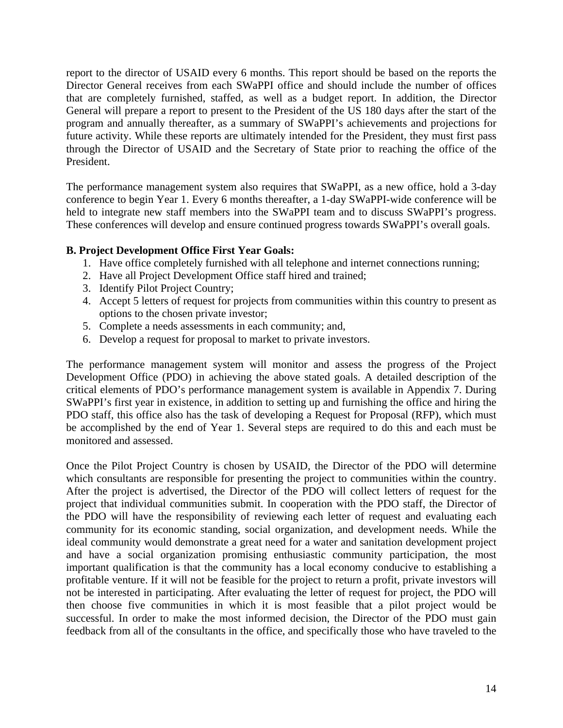report to the director of USAID every 6 months. This report should be based on the reports the Director General receives from each SWaPPI office and should include the number of offices that are completely furnished, staffed, as well as a budget report. In addition, the Director General will prepare a report to present to the President of the US 180 days after the start of the program and annually thereafter, as a summary of SWaPPI's achievements and projections for future activity. While these reports are ultimately intended for the President, they must first pass through the Director of USAID and the Secretary of State prior to reaching the office of the President.

The performance management system also requires that SWaPPI, as a new office, hold a 3-day conference to begin Year 1. Every 6 months thereafter, a 1-day SWaPPI-wide conference will be held to integrate new staff members into the SWaPPI team and to discuss SWaPPI's progress. These conferences will develop and ensure continued progress towards SWaPPI's overall goals.

### **B. Project Development Office First Year Goals:**

- 1. Have office completely furnished with all telephone and internet connections running;
- 2. Have all Project Development Office staff hired and trained;
- 3. Identify Pilot Project Country;
- 4. Accept 5 letters of request for projects from communities within this country to present as options to the chosen private investor;
- 5. Complete a needs assessments in each community; and,
- 6. Develop a request for proposal to market to private investors.

The performance management system will monitor and assess the progress of the Project Development Office (PDO) in achieving the above stated goals. A detailed description of the critical elements of PDO's performance management system is available in Appendix 7. During SWaPPI's first year in existence, in addition to setting up and furnishing the office and hiring the PDO staff, this office also has the task of developing a Request for Proposal (RFP), which must be accomplished by the end of Year 1. Several steps are required to do this and each must be monitored and assessed.

Once the Pilot Project Country is chosen by USAID, the Director of the PDO will determine which consultants are responsible for presenting the project to communities within the country. After the project is advertised, the Director of the PDO will collect letters of request for the project that individual communities submit. In cooperation with the PDO staff, the Director of the PDO will have the responsibility of reviewing each letter of request and evaluating each community for its economic standing, social organization, and development needs. While the ideal community would demonstrate a great need for a water and sanitation development project and have a social organization promising enthusiastic community participation, the most important qualification is that the community has a local economy conducive to establishing a profitable venture. If it will not be feasible for the project to return a profit, private investors will not be interested in participating. After evaluating the letter of request for project, the PDO will then choose five communities in which it is most feasible that a pilot project would be successful. In order to make the most informed decision, the Director of the PDO must gain feedback from all of the consultants in the office, and specifically those who have traveled to the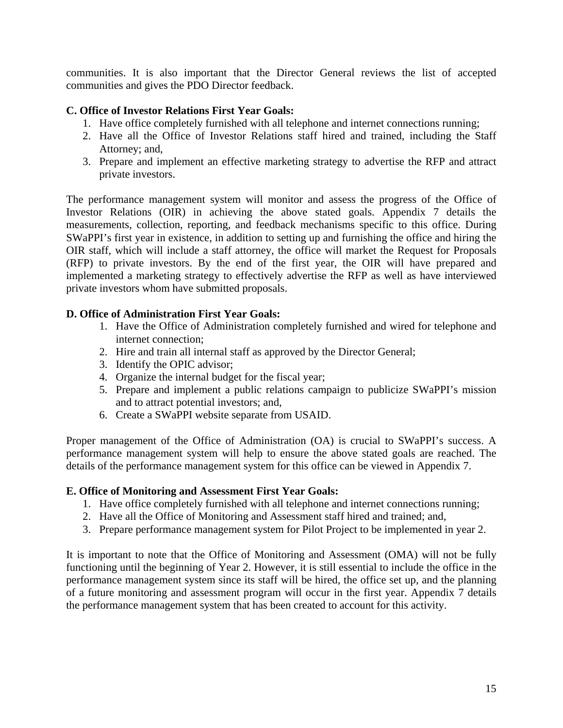communities. It is also important that the Director General reviews the list of accepted communities and gives the PDO Director feedback.

### **C. Office of Investor Relations First Year Goals:**

- 1. Have office completely furnished with all telephone and internet connections running;
- 2. Have all the Office of Investor Relations staff hired and trained, including the Staff Attorney; and,
- 3. Prepare and implement an effective marketing strategy to advertise the RFP and attract private investors.

The performance management system will monitor and assess the progress of the Office of Investor Relations (OIR) in achieving the above stated goals. Appendix 7 details the measurements, collection, reporting, and feedback mechanisms specific to this office. During SWaPPI's first year in existence, in addition to setting up and furnishing the office and hiring the OIR staff, which will include a staff attorney, the office will market the Request for Proposals (RFP) to private investors. By the end of the first year, the OIR will have prepared and implemented a marketing strategy to effectively advertise the RFP as well as have interviewed private investors whom have submitted proposals.

### **D. Office of Administration First Year Goals:**

- 1. Have the Office of Administration completely furnished and wired for telephone and internet connection;
- 2. Hire and train all internal staff as approved by the Director General;
- 3. Identify the OPIC advisor;
- 4. Organize the internal budget for the fiscal year;
- 5. Prepare and implement a public relations campaign to publicize SWaPPI's mission and to attract potential investors; and,
- 6. Create a SWaPPI website separate from USAID.

Proper management of the Office of Administration (OA) is crucial to SWaPPI's success. A performance management system will help to ensure the above stated goals are reached. The details of the performance management system for this office can be viewed in Appendix 7.

#### **E. Office of Monitoring and Assessment First Year Goals:**

- 1. Have office completely furnished with all telephone and internet connections running;
- 2. Have all the Office of Monitoring and Assessment staff hired and trained; and,
- 3. Prepare performance management system for Pilot Project to be implemented in year 2.

It is important to note that the Office of Monitoring and Assessment (OMA) will not be fully functioning until the beginning of Year 2. However, it is still essential to include the office in the performance management system since its staff will be hired, the office set up, and the planning of a future monitoring and assessment program will occur in the first year. Appendix 7 details the performance management system that has been created to account for this activity.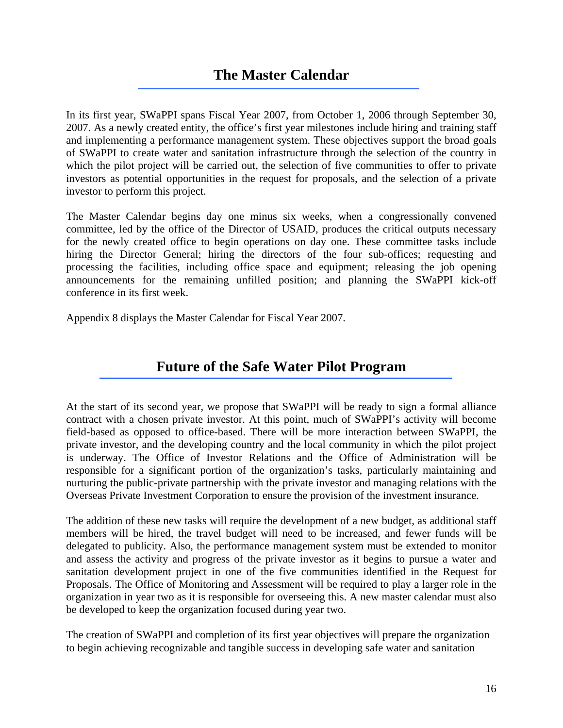### **The Master Calendar**

In its first year, SWaPPI spans Fiscal Year 2007, from October 1, 2006 through September 30, 2007. As a newly created entity, the office's first year milestones include hiring and training staff and implementing a performance management system. These objectives support the broad goals of SWaPPI to create water and sanitation infrastructure through the selection of the country in which the pilot project will be carried out, the selection of five communities to offer to private investors as potential opportunities in the request for proposals, and the selection of a private investor to perform this project.

The Master Calendar begins day one minus six weeks, when a congressionally convened committee, led by the office of the Director of USAID, produces the critical outputs necessary for the newly created office to begin operations on day one. These committee tasks include hiring the Director General; hiring the directors of the four sub-offices; requesting and processing the facilities, including office space and equipment; releasing the job opening announcements for the remaining unfilled position; and planning the SWaPPI kick-off conference in its first week.

Appendix 8 displays the Master Calendar for Fiscal Year 2007.

### **Future of the Safe Water Pilot Program**

At the start of its second year, we propose that SWaPPI will be ready to sign a formal alliance contract with a chosen private investor. At this point, much of SWaPPI's activity will become field-based as opposed to office-based. There will be more interaction between SWaPPI, the private investor, and the developing country and the local community in which the pilot project is underway. The Office of Investor Relations and the Office of Administration will be responsible for a significant portion of the organization's tasks, particularly maintaining and nurturing the public-private partnership with the private investor and managing relations with the Overseas Private Investment Corporation to ensure the provision of the investment insurance.

The addition of these new tasks will require the development of a new budget, as additional staff members will be hired, the travel budget will need to be increased, and fewer funds will be delegated to publicity. Also, the performance management system must be extended to monitor and assess the activity and progress of the private investor as it begins to pursue a water and sanitation development project in one of the five communities identified in the Request for Proposals. The Office of Monitoring and Assessment will be required to play a larger role in the organization in year two as it is responsible for overseeing this. A new master calendar must also be developed to keep the organization focused during year two.

The creation of SWaPPI and completion of its first year objectives will prepare the organization to begin achieving recognizable and tangible success in developing safe water and sanitation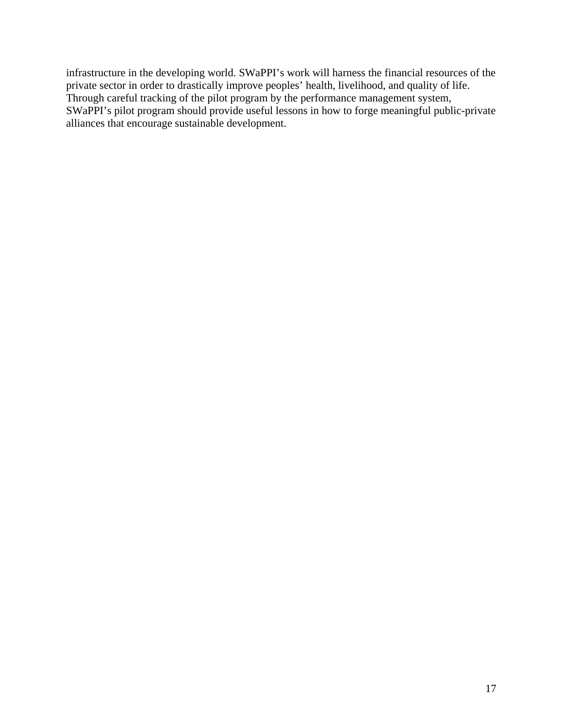infrastructure in the developing world. SWaPPI's work will harness the financial resources of the private sector in order to drastically improve peoples' health, livelihood, and quality of life. Through careful tracking of the pilot program by the performance management system, SWaPPI's pilot program should provide useful lessons in how to forge meaningful public-private alliances that encourage sustainable development.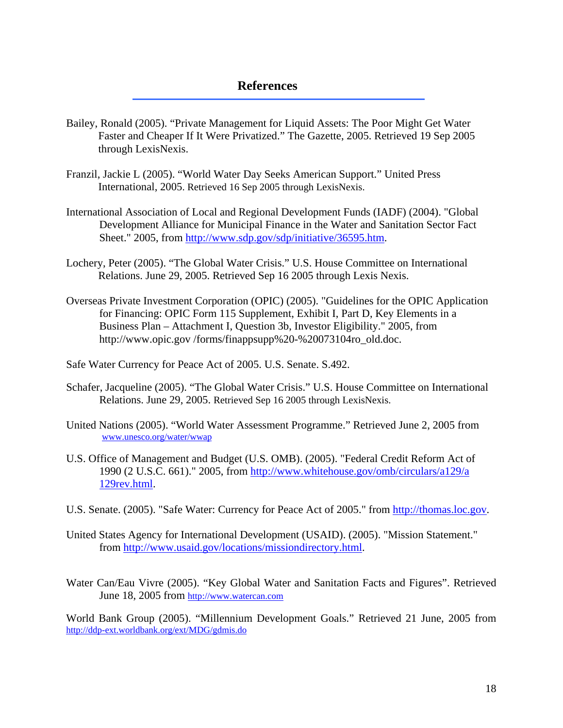### **References**

- Bailey, Ronald (2005). "Private Management for Liquid Assets: The Poor Might Get Water Faster and Cheaper If It Were Privatized." The Gazette, 2005. Retrieved 19 Sep 2005 through LexisNexis.
- Franzil, Jackie L (2005). "World Water Day Seeks American Support." United Press International, 2005. Retrieved 16 Sep 2005 through LexisNexis.
- International Association of Local and Regional Development Funds (IADF) (2004). "Global Development Alliance for Municipal Finance in the Water and Sanitation Sector Fact Sheet." 2005, from http://www.sdp.gov/sdp/initiative/36595.htm.
- Lochery, Peter (2005). "The Global Water Crisis." U.S. House Committee on International Relations. June 29, 2005. Retrieved Sep 16 2005 through Lexis Nexis.
- Overseas Private Investment Corporation (OPIC) (2005). "Guidelines for the OPIC Application for Financing: OPIC Form 115 Supplement, Exhibit I, Part D, Key Elements in a Business Plan – Attachment I, Question 3b, Investor Eligibility." 2005, from http://www.opic.gov/forms/finappsupp%20-%20073104ro\_old.doc.
- Safe Water Currency for Peace Act of 2005. U.S. Senate. S.492.
- Schafer, Jacqueline (2005). "The Global Water Crisis." U.S. House Committee on International Relations. June 29, 2005. Retrieved Sep 16 2005 through LexisNexis.
- United Nations (2005). "World Water Assessment Programme." Retrieved June 2, 2005 from www.unesco.org/water/wwap
- U.S. Office of Management and Budget (U.S. OMB). (2005). "Federal Credit Reform Act of 1990 (2 U.S.C. 661)." 2005, from http://www.whitehouse.gov/omb/circulars/a129/a 129rev.html.
- U.S. Senate. (2005). "Safe Water: Currency for Peace Act of 2005." from http://thomas.loc.gov.
- United States Agency for International Development (USAID). (2005). "Mission Statement." from http://www.usaid.gov/locations/missiondirectory.html.
- Water Can/Eau Vivre (2005). "Key Global Water and Sanitation Facts and Figures". Retrieved June 18, 2005 from http://www.watercan.com

World Bank Group (2005). "Millennium Development Goals." Retrieved 21 June, 2005 from http://ddp-ext.worldbank.org/ext/MDG/gdmis.do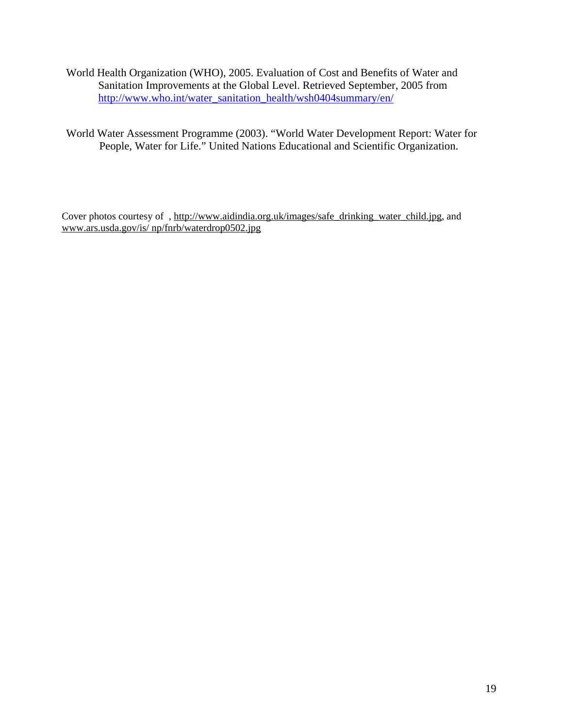World Health Organization (WHO), 2005. Evaluation of Cost and Benefits of Water and Sanitation Improvements at the Global Level. Retrieved September, 2005 from http://www.who.int/water\_sanitation\_health/wsh0404summary/en/

World Water Assessment Programme (2003). "World Water Development Report: Water for People, Water for Life." United Nations Educational and Scientific Organization.

Cover photos courtesy of , http://www.aidindia.org.uk/images/safe\_drinking\_water\_child.jpg, and www.ars.usda.gov/is/ np/fnrb/waterdrop0502.jpg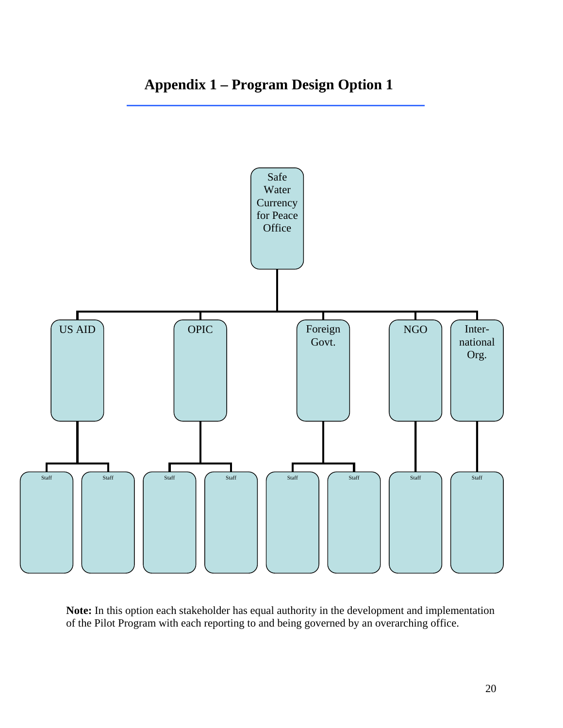### **Appendix 1 – Program Design Option 1**



**Note:** In this option each stakeholder has equal authority in the development and implementation of the Pilot Program with each reporting to and being governed by an overarching office.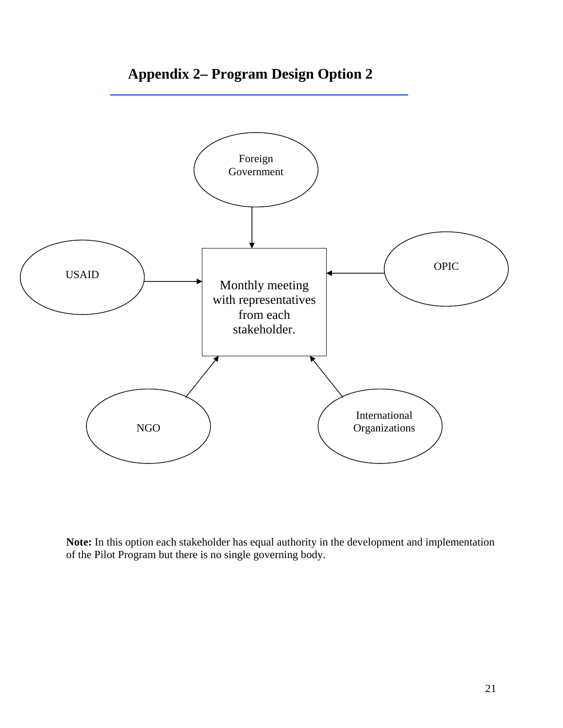

**Appendix 2– Program Design Option 2**

**Note:** In this option each stakeholder has equal authority in the development and implementation of the Pilot Program but there is no single governing body.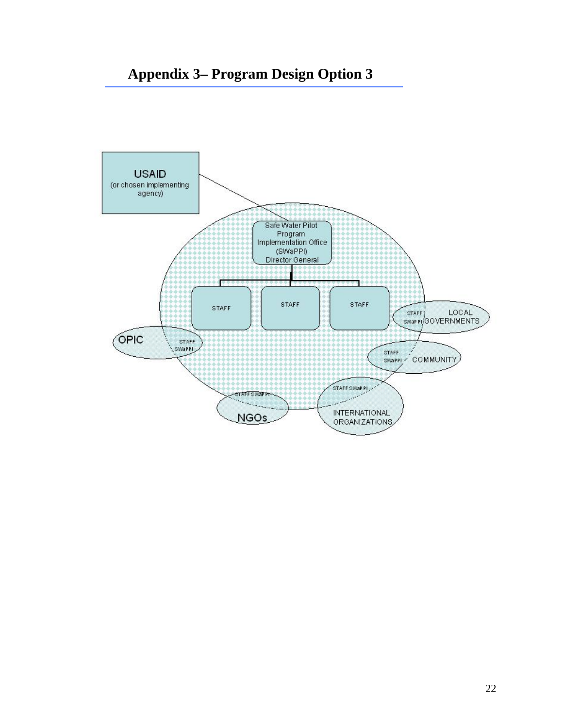# **Appendix 3– Program Design Option 3**

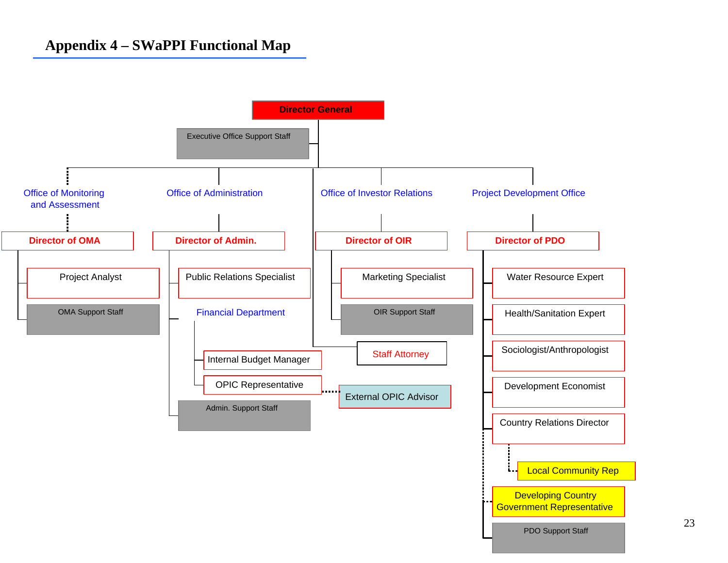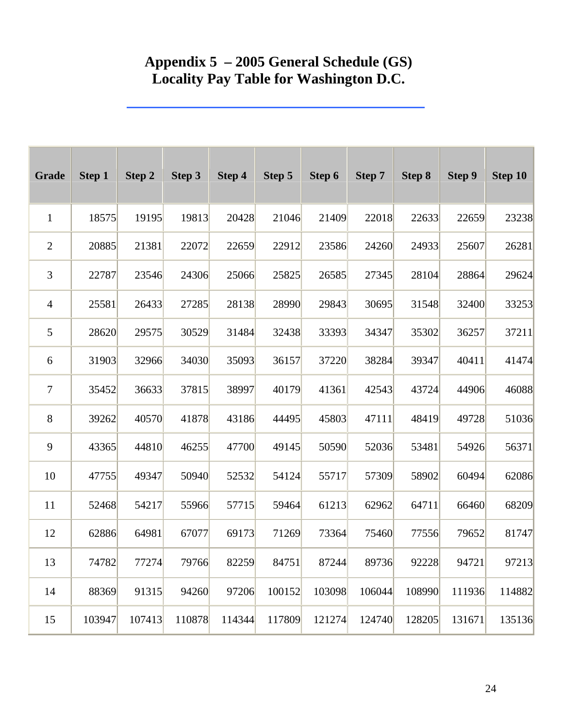### **Appendix 5 – 2005 General Schedule (GS) Locality Pay Table for Washington D.C.**

| <b>Grade</b>   | <b>Step 1</b> | Step 2 | Step 3 | Step 4 | Step 5 | Step 6 | Step 7 | <b>Step 8</b> | <b>Step 9</b> | Step 10 |  |
|----------------|---------------|--------|--------|--------|--------|--------|--------|---------------|---------------|---------|--|
| $\mathbf{1}$   | 18575         | 19195  | 19813  | 20428  | 21046  | 21409  | 22018  | 22633         | 22659         | 23238   |  |
| $\mathfrak{2}$ | 20885         | 21381  | 22072  | 22659  | 22912  | 23586  | 24260  | 24933         | 25607         | 26281   |  |
| 3              | 22787         | 23546  | 24306  | 25066  | 25825  | 26585  | 27345  | 28104         | 28864         | 29624   |  |
| $\overline{4}$ | 25581         | 26433  | 27285  | 28138  | 28990  | 29843  | 30695  | 31548         | 32400         | 33253   |  |
| 5              | 28620         | 29575  | 30529  | 31484  | 32438  | 33393  | 34347  | 35302         | 36257         | 37211   |  |
| 6              | 31903         | 32966  | 34030  | 35093  | 36157  | 37220  | 38284  | 39347         | 40411         | 41474   |  |
| 7              | 35452         | 36633  | 37815  | 38997  | 40179  | 41361  | 42543  | 43724         | 44906         | 46088   |  |
| 8              | 39262         | 40570  | 41878  | 43186  | 44495  | 45803  | 47111  | 48419         | 49728         | 51036   |  |
| 9              | 43365         | 44810  | 46255  | 47700  | 49145  | 50590  | 52036  | 53481         | 54926         | 56371   |  |
| 10             | 47755         | 49347  | 50940  | 52532  | 54124  | 55717  | 57309  | 58902         | 60494         | 62086   |  |
| 11             | 52468         | 54217  | 55966  | 57715  | 59464  | 61213  | 62962  | 64711         | 66460         | 68209   |  |
| 12             | 62886         | 64981  | 67077  | 69173  | 71269  | 73364  | 75460  | 77556         | 79652         | 81747   |  |
| 13             | 74782         | 77274  | 79766  | 82259  | 84751  | 87244  | 89736  | 92228         | 94721         | 97213   |  |
| 14             | 88369         | 91315  | 94260  | 97206  | 100152 | 103098 | 106044 | 108990        | 111936        | 114882  |  |
| 15             | 103947        | 107413 | 110878 | 114344 | 117809 | 121274 | 124740 | 128205        | 131671        | 135136  |  |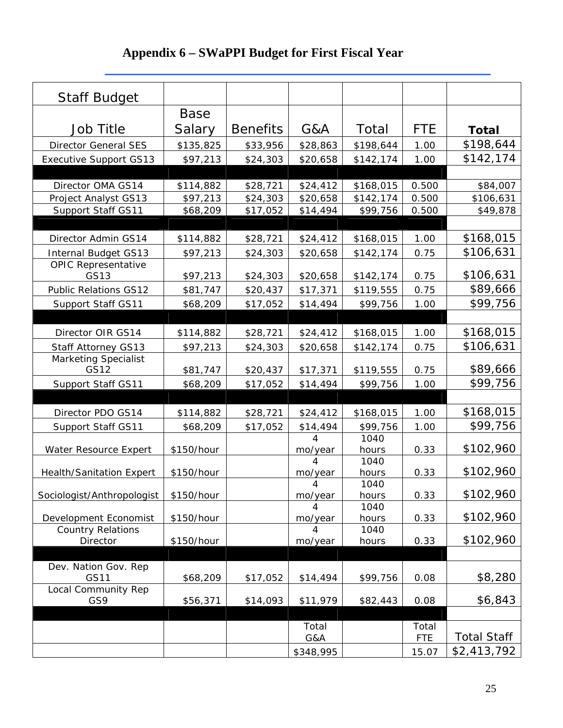# **Appendix 6 – SWaPPI Budget for First Fiscal Year**

| <b>Staff Budget</b>                                       |             |                 |              |               |            |                    |
|-----------------------------------------------------------|-------------|-----------------|--------------|---------------|------------|--------------------|
|                                                           | <b>Base</b> |                 |              |               |            |                    |
| <b>Job Title</b>                                          | Salary      | <b>Benefits</b> | G&A          | Total         | <b>FTE</b> | <b>Total</b>       |
| <b>Director General SES</b>                               | \$135,825   | \$33,956        | \$28,863     | \$198,644     | 1.00       | \$198,644          |
| <b>Executive Support GS13</b>                             | \$97,213    | \$24,303        | \$20,658     | \$142,174     | 1.00       | \$142,174          |
|                                                           |             |                 |              |               |            |                    |
| Director OMA GS14                                         | \$114,882   | \$28,721        | \$24,412     | \$168,015     | 0.500      | \$84,007           |
| Project Analyst GS13                                      | \$97,213    | \$24,303        | \$20,658     | \$142,174     | 0.500      | \$106,631          |
| Support Staff GS11                                        | \$68,209    | \$17,052        | \$14,494     | \$99,756      | 0.500      | \$49,878           |
|                                                           |             |                 |              |               |            |                    |
| Director Admin GS14                                       | \$114,882   | \$28,721        | \$24,412     | \$168,015     | 1.00       | \$168,015          |
| <b>Internal Budget GS13</b>                               | \$97,213    | \$24,303        | \$20,658     | \$142,174     | 0.75       | \$106,631          |
| <b>OPIC Representative</b>                                |             |                 |              |               |            |                    |
| GS13                                                      | \$97,213    | \$24,303        | \$20,658     | \$142,174     | 0.75       | \$106,631          |
| <b>Public Relations GS12</b>                              | \$81,747    | \$20,437        | \$17,371     | \$119,555     | 0.75       | \$89,666           |
| Support Staff GS11                                        | \$68,209    | \$17,052        | \$14,494     | \$99,756      | 1.00       | \$99,756           |
|                                                           |             |                 |              |               |            | \$168,015          |
| Director OIR GS14                                         | \$114,882   | \$28,721        | \$24,412     | \$168,015     | 1.00       |                    |
| <b>Staff Attorney GS13</b><br><b>Marketing Specialist</b> | \$97,213    | \$24,303        | \$20,658     | \$142,174     | 0.75       | \$106,631          |
| GS12                                                      | \$81,747    | \$20,437        | \$17,371     | \$119,555     | 0.75       | \$89,666           |
| Support Staff GS11                                        | \$68,209    | \$17,052        | \$14,494     | \$99,756      | 1.00       | \$99,756           |
|                                                           |             |                 |              |               |            |                    |
| Director PDO GS14                                         | \$114,882   | \$28,721        | \$24,412     | \$168,015     | 1.00       | \$168,015          |
| Support Staff GS11                                        | \$68,209    | \$17,052        | \$14,494     | \$99,756      | 1.00       | \$99,756           |
|                                                           |             |                 | 4            | 1040          |            |                    |
| Water Resource Expert                                     | \$150/hour  |                 | mo/year      | hours         | 0.33       | \$102,960          |
| <b>Health/Sanitation Expert</b>                           | \$150/hour  |                 | 4<br>mo/year | 1040<br>hours | 0.33       | \$102,960          |
|                                                           |             |                 | 4            | 1040          |            |                    |
| Sociologist/Anthropologist                                | \$150/hour  |                 | mo/year      | hours         | 0.33       | \$102,960          |
|                                                           |             |                 | 4            | 1040          |            |                    |
| Development Economist<br><b>Country Relations</b>         | \$150/hour  |                 | mo/year      | hours<br>1040 | 0.33       | \$102,960          |
| Director                                                  | \$150/hour  |                 | mo/year      | hours         | 0.33       | \$102,960          |
|                                                           |             |                 |              |               |            |                    |
| Dev. Nation Gov. Rep                                      |             |                 |              |               |            |                    |
| GS11                                                      | \$68,209    | \$17,052        | \$14,494     | \$99,756      | 0.08       | \$8,280            |
| Local Community Rep<br>GS9                                | \$56,371    | \$14,093        | \$11,979     | \$82,443      | 0.08       | \$6,843            |
|                                                           |             |                 |              |               |            |                    |
|                                                           |             |                 | Total        |               | Total      |                    |
|                                                           |             |                 | G&A          |               | <b>FTE</b> | <b>Total Staff</b> |
|                                                           |             |                 | \$348,995    |               | 15.07      | \$2,413,792        |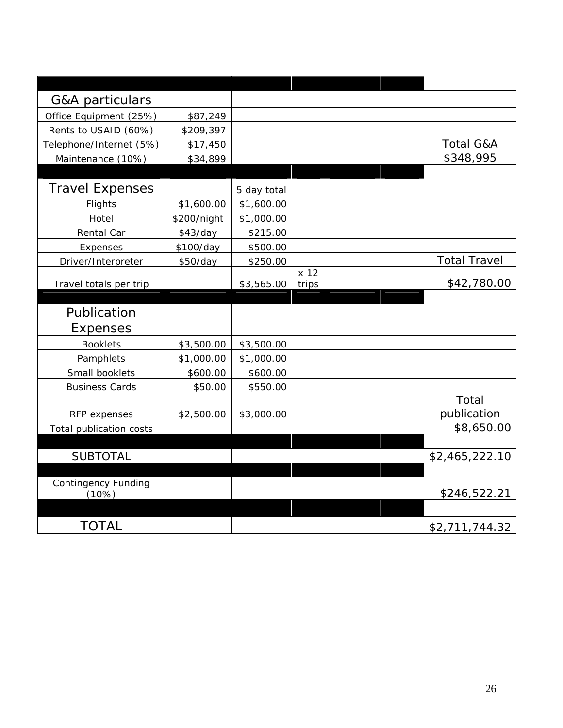| G&A particulars                     |             |             |               |  |                      |
|-------------------------------------|-------------|-------------|---------------|--|----------------------|
| Office Equipment (25%)              | \$87,249    |             |               |  |                      |
| Rents to USAID (60%)                | \$209,397   |             |               |  |                      |
| Telephone/Internet (5%)             | \$17,450    |             |               |  | <b>Total G&amp;A</b> |
| Maintenance (10%)                   | \$34,899    |             |               |  | \$348,995            |
|                                     |             |             |               |  |                      |
| <b>Travel Expenses</b>              |             | 5 day total |               |  |                      |
| Flights                             | \$1,600.00  | \$1,600.00  |               |  |                      |
| Hotel                               | \$200/night | \$1,000.00  |               |  |                      |
| Rental Car                          | \$43/day    | \$215.00    |               |  |                      |
| Expenses                            | \$100/day   | \$500.00    |               |  |                      |
| Driver/Interpreter                  | \$50/day    | \$250.00    |               |  | <b>Total Travel</b>  |
| Travel totals per trip              |             | \$3,565.00  | x 12<br>trips |  | \$42,780.00          |
|                                     |             |             |               |  |                      |
| Publication                         |             |             |               |  |                      |
| <b>Expenses</b>                     |             |             |               |  |                      |
| <b>Booklets</b>                     | \$3,500.00  | \$3,500.00  |               |  |                      |
| Pamphlets                           | \$1,000.00  | \$1,000.00  |               |  |                      |
| Small booklets                      | \$600.00    | \$600.00    |               |  |                      |
| <b>Business Cards</b>               | \$50.00     | \$550.00    |               |  |                      |
|                                     |             |             |               |  | Total                |
| RFP expenses                        | \$2,500.00  | \$3,000.00  |               |  | publication          |
| Total publication costs             |             |             |               |  | \$8,650.00           |
|                                     |             |             |               |  |                      |
| <b>SUBTOTAL</b>                     |             |             |               |  | \$2,465,222.10       |
|                                     |             |             |               |  |                      |
| <b>Contingency Funding</b><br>(10%) |             |             |               |  | \$246,522.21         |
|                                     |             |             |               |  |                      |
| <b>TOTAL</b>                        |             |             |               |  | \$2,711,744.32       |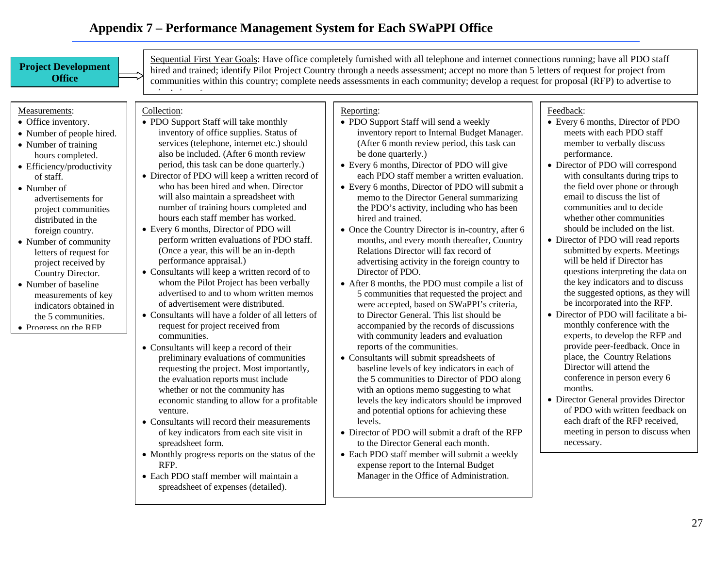### **Appendix 7 – Performance Management System for Each SWaPPI Office**

venture.

RFP.

spreadsheet form.

• Consultants will record their measurements of key indicators from each site visit in

• Monthly progress reports on the status of the

• Each PDO staff member will maintain a spreadsheet of expenses (detailed).



levels.

and potential options for achieving these

• Director of PDO will submit a draft of the RFP to the Director General each month. • Each PDO staff member will submit a weekly expense report to the Internal Budget Manager in the Office of Administration.

• Director General provides Director of PDO with written feedback on each draft of the RFP received, meeting in person to discuss when necessary.

 $27$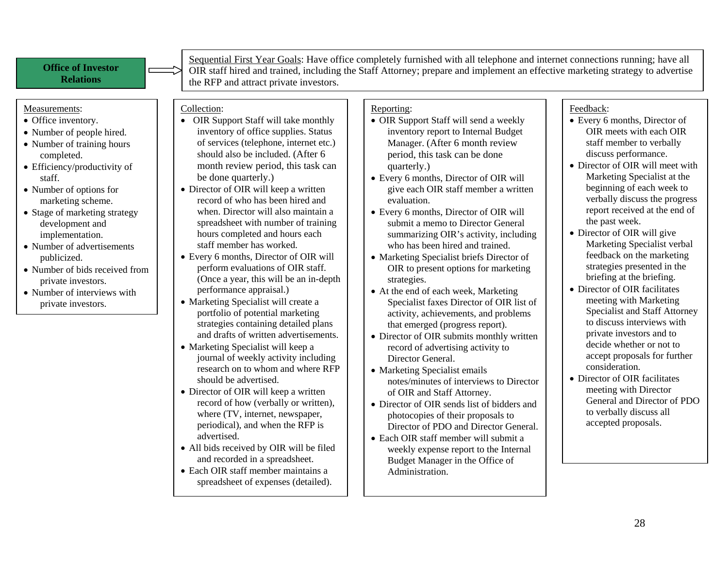#### **Office of Investor Relations**

Sequential First Year Goals: Have office completely furnished with all telephone and internet connections running; have all OIR staff hired and trained, including the Staff Attorney; prepare and implement an effective marketing strategy to advertise the RFP and attract private investors.

#### Measurements:

- Office inventory.
- Number of people hired.
- Number of training hours completed.
- Efficiency/productivity of staff.
- Number of options for marketing scheme.
- Stage of marketing strategy development and implementation.
- Number of advertisements publicized.
- Number of bids received from private investors.
- Number of interviews with private investors.

#### Collection: • OIR Support Staff will take monthly inventory of office supplies. Status of services (telephone, internet etc.) should also be included. (After 6 month review period, this task can be done quarterly.)

- Director of OIR will keep a written record of who has been hired and when. Director will also maintain a spreadsheet with number of training hours completed and hours each staff member has worked.
- Every 6 months, Director of OIR will perform evaluations of OIR staff. (Once a year, this will be an in-depth performance appraisal.)
- Marketing Specialist will create a portfolio of potential marketing strategies containing detailed plans and drafts of written advertisements.
- Marketing Specialist will keep a journal of weekly activity including research on to whom and where RFP should be advertised.
- Director of OIR will keep a written record of how (verbally or written), where (TV, internet, newspaper, periodical), and when the RFP is advertised.
- All bids received by OIR will be filed and recorded in a spreadsheet.
- Each OIR staff member maintains a spreadsheet of expenses (detailed).

### Reporting:

- OIR Support Staff will send a weekly inventory report to Internal Budget Manager. (After 6 month review period, this task can be done quarterly.)
- Every 6 months, Director of OIR will give each OIR staff member a written evaluation.
- Every 6 months, Director of OIR will submit a memo to Director General summarizing OIR's activity, including who has been hired and trained.
- Marketing Specialist briefs Director of OIR to present options for marketing strategies.
- At the end of each week, Marketing Specialist faxes Director of OIR list of activity, achievements, and problems that emerged (progress report).
- Director of OIR submits monthly written record of advertising activity to Director General.
- Marketing Specialist emails notes/minutes of interviews to Director of OIR and Staff Attorney.
- Director of OIR sends list of bidders and photocopies of their proposals to Director of PDO and Director General.
- Each OIR staff member will submit a weekly expense report to the Internal Budget Manager in the Office of Administration.

### Feedback:

- Every 6 months, Director of OIR meets with each OIR staff member to verbally discuss performance.
- Director of OIR will meet with Marketing Specialist at the beginning of each week to verbally discuss the progress report received at the end of the past week.
- Director of OIR will give Marketing Specialist verbal feedback on the marketing strategies presented in the briefing at the briefing.
- Director of OIR facilitates meeting with Marketing Specialist and Staff Attorney to discuss interviews with private investors and to decide whether or not to accept proposals for further consideration.
- Director of OIR facilitates meeting with Director General and Director of PDO to verbally discuss all accepted proposals.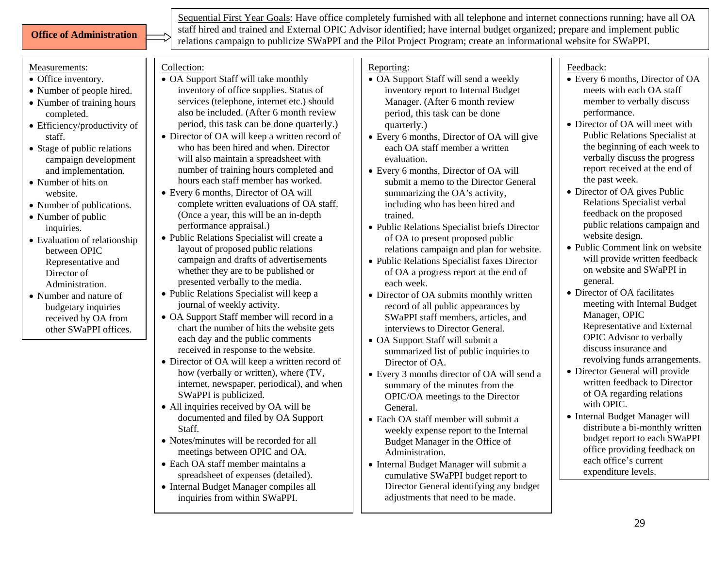### **Office of Administration**

Sequential First Year Goals: Have office completely furnished with all telephone and internet connections running; have all OA staff hired and trained and External OPIC Advisor identified; have internal budget organized; prepare and implement public relations campai gn to publicize SWaPPI and the Pilot Project Pro gram; create an informational website for SWaPPI.

#### Measurements:

- Office inventory.
- Number of people hired.
- Number of training hours completed.
- Efficiency/productivity of staff.
- Stage of public relations campaign development and implementation.
- Number of hits on website.
- Number of publications.
- Number of public inquiries.
- Evaluation of relationship between OPIC Representative and Director of Administration.
- Number and nature of budgetary inquiries received by OA from other SWaPPI offices.

### Collection:

- OA Support Staff will take monthly inventory of office supplies. Status of services (telephone, internet etc.) should also be included. (After 6 month review period, this task can be done quarterly.)
- Director of OA will keep a written record of who has been hired and when. Director will also maintain a spreadsheet with number of training hours completed and hours each staff member has worked.
- Every 6 months, Director of OA will complete written evaluations of OA staff. (Once a year, this will be an in-depth performance appraisal.)
- Public Relations Specialist will create a layout of proposed public relations campaign and drafts of advertisements whether they are to be published or presented verbally to the media.
- Public Relations Specialist will keep a journal of weekly activity.
- OA Support Staff member will record in a chart the number of hits the website gets each day and the public comments received in response to the website.
- Director of OA will keep a written record of how (verbally or written), where (TV, internet, newspaper, periodical), and when SWaPPI is publicized.
- All inquiries received by OA will be documented and filed by OA Support Staff.
- Notes/minutes will be recorded for all meetings between OPIC and OA.
- Each OA staff member maintains a spreadsheet of expenses (detailed).
- Internal Budget Manager compiles all inquiries from within SWaPPI.

### Reporting:

- OA Support Staff will send a weekly inventory report to Internal Budget Manager. (After 6 month review period, this task can be done quarterly.)
- Every 6 months, Director of OA will give each OA staff member a written evaluation.
- Every 6 months, Director of OA will submit a memo to the Director General summarizing the OA's activity, including who has been hired and trained.
- Public Relations Specialist briefs Director of OA to present proposed public relations campaign and plan for website.
- Public Relations Specialist faxes Director of OA a progress report at the end of each week.
- Director of OA submits monthly written record of all public appearances by SWaPPI staff members, articles, and interviews to Director General.
- OA Support Staff will submit a summarized list of public inquiries to Director of OA.
- Every 3 months director of OA will send a summary of the minutes from the OPIC/OA meetings to the Director General.
- Each OA staff member will submit a weekly expense report to the Internal Budget Manager in the Office of Administration.
- Internal Budget Manager will submit a cumulative SWaPPI budget report to Director General identifying any budget adjustments that need to be made.

### Feedback:

- Every 6 months, Director of OA meets with each OA staff member to verbally discuss performance.
- Director of OA will meet with Public Relations Specialist at the beginning of each week to verbally discuss the progress report received at the end of the past week.
- Director of OA gives Public Relations Specialist verbal feedback on the proposed public relations campaign and website design.
- Public Comment link on website will provide written feedback on website and SWaPPI in general.
- Director of OA facilitates meeting with Internal Budget Manager, OPIC Representative and External OPIC Advisor to verbally discuss insurance and revolving funds arrangements.
- Director General will provide written feedback to Director of OA regarding relations with OPIC.
- Internal Budget Manager will distribute a bi-monthly written budget report to each SWaPPI office providing feedback on each office's current expenditure levels.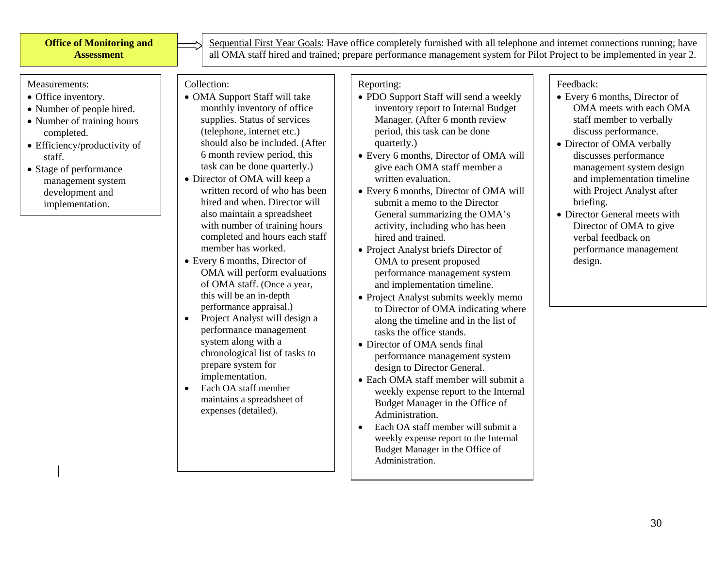Sequential First Year Goals: Have office completely furnished with all telephone and internet connections running; have all OMA staff hired and trained; prepare performance management system for Pilot Project to be implemented in year 2.

#### Measurements:

- Office inventory.
- Number of people hired.
- Number of training hours completed.
- Efficiency/productivity of staff.
- Stage of performance management system development and implementation.

### Collection:

- OMA Support Staff will take monthly inventory of office supplies. Status of services (telephone, internet etc.) should also be included. (After 6 month review period, this task can be done quarterly.)
- Director of OMA will keep a written record of who has been hired and when. Director will also maintain a spreadsheet with number of training hours completed and hours each staff member has worked.
- Every 6 months, Director of OMA will perform evaluations of OMA staff. (Once a year, this will be an in-depth performance appraisal.)
- • Project Analyst will design a performance management system along with a chronological list of tasks to prepare system for implementation.
- • Each OA staff member maintains a spreadsheet of expenses (detailed).

### Reporting:

- PDO Support Staff will send a weekly inventory report to Internal Budget Manager. (After 6 month review period, this task can be done quarterly.)
- Every 6 months, Director of OMA will give each OMA staff member a written evaluation.
- Every 6 months, Director of OMA will submit a memo to the Director General summarizing the OMA's activity, including who has been hired and trained.
- Project Analyst briefs Director of OMA to present proposed performance management system and implementation timeline.
- Project Analyst submits weekly memo to Director of OMA indicating where along the timeline and in the list of tasks the office stands.
- Director of OMA sends final performance management system design to Director General.
- Each OMA staff member will submit a weekly expense report to the Internal Budget Manager in the Office of Administration.
- • Each OA staff member will submit a weekly expense report to the Internal Budget Manager in the Office of Administration.

### Feedback:

- Every 6 months, Director of OMA meets with each OMA staff member to verbally discuss performance.
- Director of OMA verbally discusses performance management system design and implementation timeline with Project Analyst after briefing.
- Director General meets with Director of OMA to give verbal feedback on performance management design.